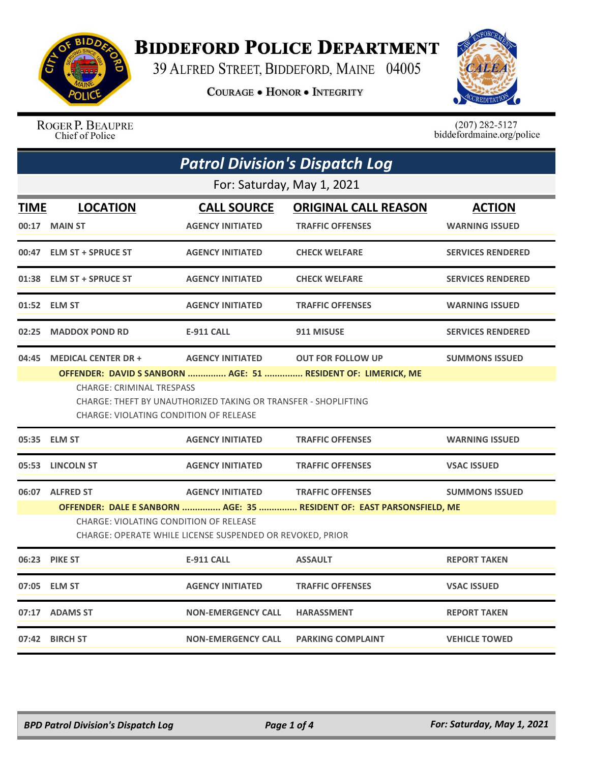

## **BIDDEFORD POLICE DEPARTMENT**

39 ALFRED STREET, BIDDEFORD, MAINE 04005

**COURAGE . HONOR . INTEGRITY** 



ROGER P. BEAUPRE Chief of Police

 $(207)$  282-5127<br>biddefordmaine.org/police

|                            | <b>Patrol Division's Dispatch Log</b>                                                                      |                           |                                                                                           |                          |  |  |
|----------------------------|------------------------------------------------------------------------------------------------------------|---------------------------|-------------------------------------------------------------------------------------------|--------------------------|--|--|
| For: Saturday, May 1, 2021 |                                                                                                            |                           |                                                                                           |                          |  |  |
| <b>TIME</b>                | <b>LOCATION</b>                                                                                            | <b>CALL SOURCE</b>        | <b>ORIGINAL CALL REASON</b>                                                               | <b>ACTION</b>            |  |  |
|                            | 00:17 MAIN ST                                                                                              | <b>AGENCY INITIATED</b>   | <b>TRAFFIC OFFENSES</b>                                                                   | <b>WARNING ISSUED</b>    |  |  |
| 00:47                      | <b>ELM ST + SPRUCE ST</b>                                                                                  | <b>AGENCY INITIATED</b>   | <b>CHECK WELFARE</b>                                                                      | <b>SERVICES RENDERED</b> |  |  |
|                            | 01:38 ELM ST + SPRUCE ST                                                                                   | <b>AGENCY INITIATED</b>   | <b>CHECK WELFARE</b>                                                                      | <b>SERVICES RENDERED</b> |  |  |
|                            | 01:52 ELM ST                                                                                               | <b>AGENCY INITIATED</b>   | <b>TRAFFIC OFFENSES</b>                                                                   | <b>WARNING ISSUED</b>    |  |  |
| 02:25                      | <b>MADDOX POND RD</b>                                                                                      | <b>E-911 CALL</b>         | 911 MISUSE                                                                                | <b>SERVICES RENDERED</b> |  |  |
| 04:45                      | <b>MEDICAL CENTER DR +</b><br><b>CHARGE: CRIMINAL TRESPASS</b>                                             | <b>AGENCY INITIATED</b>   | <b>OUT FOR FOLLOW UP</b><br>OFFENDER: DAVID S SANBORN  AGE: 51  RESIDENT OF: LIMERICK, ME | <b>SUMMONS ISSUED</b>    |  |  |
|                            | CHARGE: THEFT BY UNAUTHORIZED TAKING OR TRANSFER - SHOPLIFTING<br>CHARGE: VIOLATING CONDITION OF RELEASE   |                           |                                                                                           |                          |  |  |
|                            | 05:35 ELM ST                                                                                               | <b>AGENCY INITIATED</b>   | <b>TRAFFIC OFFENSES</b>                                                                   | <b>WARNING ISSUED</b>    |  |  |
|                            | 05:53 LINCOLN ST                                                                                           | <b>AGENCY INITIATED</b>   | <b>TRAFFIC OFFENSES</b>                                                                   | <b>VSAC ISSUED</b>       |  |  |
|                            | 06:07 ALFRED ST                                                                                            | <b>AGENCY INITIATED</b>   | <b>TRAFFIC OFFENSES</b>                                                                   | <b>SUMMONS ISSUED</b>    |  |  |
|                            |                                                                                                            |                           | OFFENDER: DALE E SANBORN  AGE: 35  RESIDENT OF: EAST PARSONSFIELD, ME                     |                          |  |  |
|                            | <b>CHARGE: VIOLATING CONDITION OF RELEASE</b><br>CHARGE: OPERATE WHILE LICENSE SUSPENDED OR REVOKED, PRIOR |                           |                                                                                           |                          |  |  |
|                            | 06:23 PIKE ST                                                                                              | <b>E-911 CALL</b>         | <b>ASSAULT</b>                                                                            | <b>REPORT TAKEN</b>      |  |  |
| 07:05                      | <b>ELM ST</b>                                                                                              | <b>AGENCY INITIATED</b>   | <b>TRAFFIC OFFENSES</b>                                                                   | <b>VSAC ISSUED</b>       |  |  |
|                            | 07:17 ADAMS ST                                                                                             | <b>NON-EMERGENCY CALL</b> | <b>HARASSMENT</b>                                                                         | <b>REPORT TAKEN</b>      |  |  |
|                            | 07:42 BIRCH ST                                                                                             | <b>NON-EMERGENCY CALL</b> | <b>PARKING COMPLAINT</b>                                                                  | <b>VEHICLE TOWED</b>     |  |  |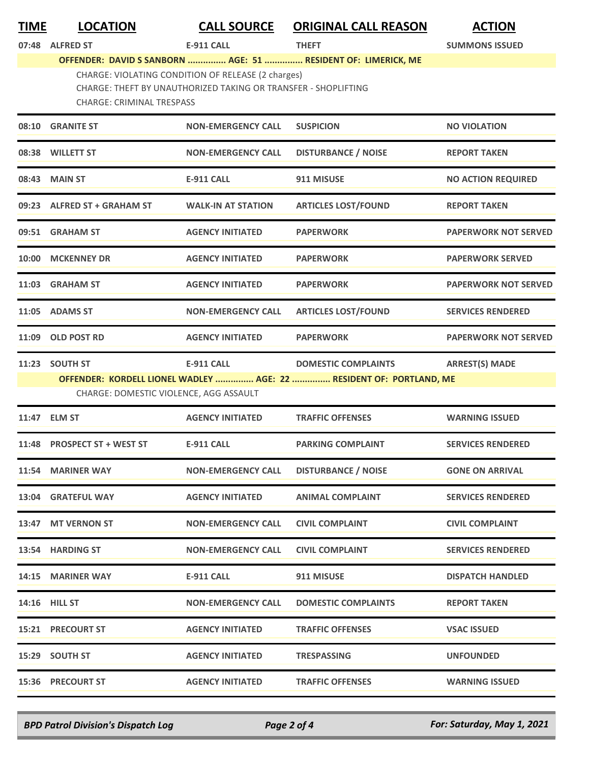| <b>TIME</b> | <b>LOCATION</b>                                                                                                                                          | <b>CALL SOURCE</b>        | <b>ORIGINAL CALL REASON</b>                                         | <b>ACTION</b>               |  |
|-------------|----------------------------------------------------------------------------------------------------------------------------------------------------------|---------------------------|---------------------------------------------------------------------|-----------------------------|--|
| 07:48       | <b>ALFRED ST</b>                                                                                                                                         | <b>E-911 CALL</b>         | <b>THEFT</b>                                                        | <b>SUMMONS ISSUED</b>       |  |
|             |                                                                                                                                                          |                           | OFFENDER: DAVID S SANBORN  AGE: 51  RESIDENT OF: LIMERICK, ME       |                             |  |
|             | CHARGE: VIOLATING CONDITION OF RELEASE (2 charges)<br>CHARGE: THEFT BY UNAUTHORIZED TAKING OR TRANSFER - SHOPLIFTING<br><b>CHARGE: CRIMINAL TRESPASS</b> |                           |                                                                     |                             |  |
| 08:10       | <b>GRANITE ST</b>                                                                                                                                        | <b>NON-EMERGENCY CALL</b> | <b>SUSPICION</b>                                                    | <b>NO VIOLATION</b>         |  |
|             | 08:38 WILLETT ST                                                                                                                                         | <b>NON-EMERGENCY CALL</b> | <b>DISTURBANCE / NOISE</b>                                          | <b>REPORT TAKEN</b>         |  |
|             | 08:43 MAIN ST                                                                                                                                            | <b>E-911 CALL</b>         | 911 MISUSE                                                          | <b>NO ACTION REQUIRED</b>   |  |
|             | 09:23 ALFRED ST + GRAHAM ST                                                                                                                              | <b>WALK-IN AT STATION</b> | <b>ARTICLES LOST/FOUND</b>                                          | <b>REPORT TAKEN</b>         |  |
|             | 09:51 GRAHAM ST                                                                                                                                          | <b>AGENCY INITIATED</b>   | <b>PAPERWORK</b>                                                    | <b>PAPERWORK NOT SERVED</b> |  |
|             | 10:00 MCKENNEY DR                                                                                                                                        | <b>AGENCY INITIATED</b>   | <b>PAPERWORK</b>                                                    | <b>PAPERWORK SERVED</b>     |  |
|             | 11:03 GRAHAM ST                                                                                                                                          | <b>AGENCY INITIATED</b>   | <b>PAPERWORK</b>                                                    | <b>PAPERWORK NOT SERVED</b> |  |
| 11:05       | <b>ADAMS ST</b>                                                                                                                                          | <b>NON-EMERGENCY CALL</b> | <b>ARTICLES LOST/FOUND</b>                                          | <b>SERVICES RENDERED</b>    |  |
|             | 11:09 OLD POST RD                                                                                                                                        | <b>AGENCY INITIATED</b>   | <b>PAPERWORK</b>                                                    | <b>PAPERWORK NOT SERVED</b> |  |
|             | 11:23 SOUTH ST                                                                                                                                           | <b>E-911 CALL</b>         | <b>DOMESTIC COMPLAINTS</b>                                          | <b>ARREST(S) MADE</b>       |  |
|             | CHARGE: DOMESTIC VIOLENCE, AGG ASSAULT                                                                                                                   |                           | OFFENDER: KORDELL LIONEL WADLEY  AGE: 22  RESIDENT OF: PORTLAND, ME |                             |  |
|             | 11:47 ELM ST                                                                                                                                             | <b>AGENCY INITIATED</b>   | <b>TRAFFIC OFFENSES</b>                                             | <b>WARNING ISSUED</b>       |  |
|             | 11:48 PROSPECT ST + WEST ST                                                                                                                              | <b>E-911 CALL</b>         | <b>PARKING COMPLAINT</b>                                            | <b>SERVICES RENDERED</b>    |  |
|             | 11:54 MARINER WAY                                                                                                                                        | <b>NON-EMERGENCY CALL</b> | <b>DISTURBANCE / NOISE</b>                                          | <b>GONE ON ARRIVAL</b>      |  |
|             | 13:04 GRATEFUL WAY                                                                                                                                       | <b>AGENCY INITIATED</b>   | <b>ANIMAL COMPLAINT</b>                                             | <b>SERVICES RENDERED</b>    |  |
|             | 13:47 MT VERNON ST                                                                                                                                       | <b>NON-EMERGENCY CALL</b> | <b>CIVIL COMPLAINT</b>                                              | <b>CIVIL COMPLAINT</b>      |  |
|             | 13:54 HARDING ST                                                                                                                                         | <b>NON-EMERGENCY CALL</b> | <b>CIVIL COMPLAINT</b>                                              | <b>SERVICES RENDERED</b>    |  |
|             | 14:15 MARINER WAY                                                                                                                                        | <b>E-911 CALL</b>         | 911 MISUSE                                                          | <b>DISPATCH HANDLED</b>     |  |
|             | <b>14:16 HILL ST</b>                                                                                                                                     | <b>NON-EMERGENCY CALL</b> | <b>DOMESTIC COMPLAINTS</b>                                          | <b>REPORT TAKEN</b>         |  |
|             | <b>15:21 PRECOURT ST</b>                                                                                                                                 | <b>AGENCY INITIATED</b>   | <b>TRAFFIC OFFENSES</b>                                             | <b>VSAC ISSUED</b>          |  |
|             | 15:29 SOUTH ST                                                                                                                                           | <b>AGENCY INITIATED</b>   | <b>TRESPASSING</b>                                                  | <b>UNFOUNDED</b>            |  |

**15:36 PRECOURT ST AGENCY INITIATED TRAFFIC OFFENSES WARNING ISSUED**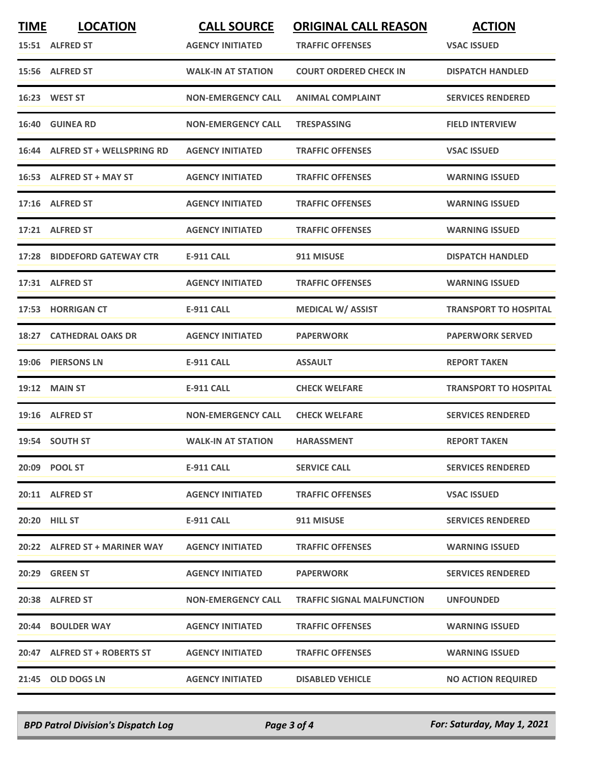| <b>TIME</b> | <b>LOCATION</b>                 | <b>CALL SOURCE</b>        | <b>ORIGINAL CALL REASON</b>       | <b>ACTION</b>                |
|-------------|---------------------------------|---------------------------|-----------------------------------|------------------------------|
|             | 15:51 ALFRED ST                 | <b>AGENCY INITIATED</b>   | <b>TRAFFIC OFFENSES</b>           | <b>VSAC ISSUED</b>           |
|             | 15:56 ALFRED ST                 | <b>WALK-IN AT STATION</b> | <b>COURT ORDERED CHECK IN</b>     | <b>DISPATCH HANDLED</b>      |
|             | 16:23 WEST ST                   | <b>NON-EMERGENCY CALL</b> | <b>ANIMAL COMPLAINT</b>           | <b>SERVICES RENDERED</b>     |
|             | 16:40 GUINEA RD                 | <b>NON-EMERGENCY CALL</b> | <b>TRESPASSING</b>                | <b>FIELD INTERVIEW</b>       |
|             | 16:44 ALFRED ST + WELLSPRING RD | <b>AGENCY INITIATED</b>   | <b>TRAFFIC OFFENSES</b>           | <b>VSAC ISSUED</b>           |
|             | 16:53 ALFRED ST + MAY ST        | <b>AGENCY INITIATED</b>   | <b>TRAFFIC OFFENSES</b>           | <b>WARNING ISSUED</b>        |
|             | 17:16 ALFRED ST                 | <b>AGENCY INITIATED</b>   | <b>TRAFFIC OFFENSES</b>           | <b>WARNING ISSUED</b>        |
|             | 17:21 ALFRED ST                 | <b>AGENCY INITIATED</b>   | <b>TRAFFIC OFFENSES</b>           | <b>WARNING ISSUED</b>        |
|             | 17:28 BIDDEFORD GATEWAY CTR     | <b>E-911 CALL</b>         | 911 MISUSE                        | <b>DISPATCH HANDLED</b>      |
|             | 17:31 ALFRED ST                 | <b>AGENCY INITIATED</b>   | <b>TRAFFIC OFFENSES</b>           | <b>WARNING ISSUED</b>        |
|             | 17:53 HORRIGAN CT               | <b>E-911 CALL</b>         | <b>MEDICAL W/ ASSIST</b>          | <b>TRANSPORT TO HOSPITAL</b> |
|             | 18:27 CATHEDRAL OAKS DR         | <b>AGENCY INITIATED</b>   | <b>PAPERWORK</b>                  | <b>PAPERWORK SERVED</b>      |
|             | 19:06 PIERSONS LN               | <b>E-911 CALL</b>         | <b>ASSAULT</b>                    | <b>REPORT TAKEN</b>          |
| 19:12       | <b>MAIN ST</b>                  | <b>E-911 CALL</b>         | <b>CHECK WELFARE</b>              | <b>TRANSPORT TO HOSPITAL</b> |
|             | 19:16 ALFRED ST                 | <b>NON-EMERGENCY CALL</b> | <b>CHECK WELFARE</b>              | <b>SERVICES RENDERED</b>     |
|             | 19:54 SOUTH ST                  | <b>WALK-IN AT STATION</b> | <b>HARASSMENT</b>                 | <b>REPORT TAKEN</b>          |
|             | 20:09 POOL ST                   | <b>E-911 CALL</b>         | <b>SERVICE CALL</b>               | <b>SERVICES RENDERED</b>     |
|             | 20:11 ALFRED ST                 | <b>AGENCY INITIATED</b>   | <b>TRAFFIC OFFENSES</b>           | <b>VSAC ISSUED</b>           |
|             | <b>20:20 HILL ST</b>            | E-911 CALL                | 911 MISUSE                        | <b>SERVICES RENDERED</b>     |
|             | 20:22 ALFRED ST + MARINER WAY   | <b>AGENCY INITIATED</b>   | <b>TRAFFIC OFFENSES</b>           | <b>WARNING ISSUED</b>        |
|             | 20:29 GREEN ST                  | <b>AGENCY INITIATED</b>   | <b>PAPERWORK</b>                  | <b>SERVICES RENDERED</b>     |
|             | 20:38 ALFRED ST                 | <b>NON-EMERGENCY CALL</b> | <b>TRAFFIC SIGNAL MALFUNCTION</b> | <b>UNFOUNDED</b>             |
|             | 20:44 BOULDER WAY               | <b>AGENCY INITIATED</b>   | <b>TRAFFIC OFFENSES</b>           | <b>WARNING ISSUED</b>        |
|             | 20:47 ALFRED ST + ROBERTS ST    | <b>AGENCY INITIATED</b>   | <b>TRAFFIC OFFENSES</b>           | <b>WARNING ISSUED</b>        |
|             | 21:45 OLD DOGS LN               | <b>AGENCY INITIATED</b>   | <b>DISABLED VEHICLE</b>           | <b>NO ACTION REQUIRED</b>    |

*BPD Patrol Division's Dispatch Log Page 3 of 4 For: Saturday, May 1, 2021*